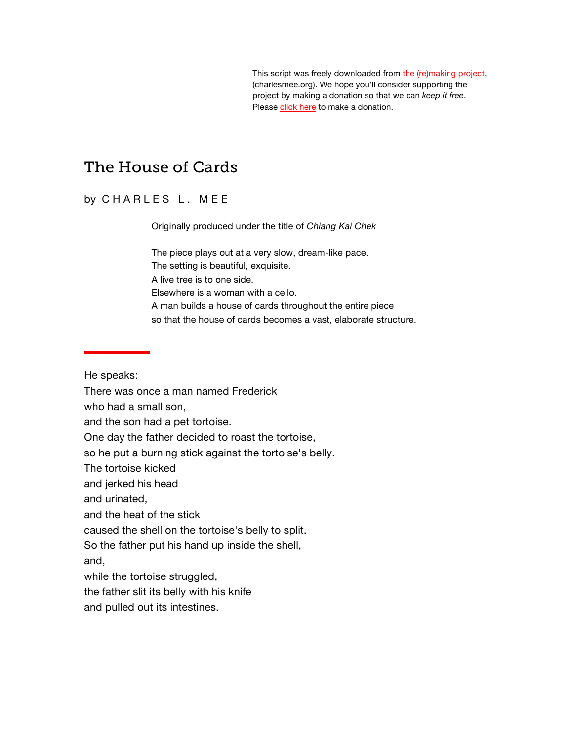This script was freely downloaded from [the \(re\)making project,](http://www.charlesmee.org/)  (charlesmee.org). We hope you'll consider supporting the project by making a donation so that we can *keep it free*. Pleas[e click here](http://www.charlesmee.org/support-the-project.shtml) to make a donation.

# The House of Cards

by CHARLES L. MEE

Originally produced under the title of *Chiang Kai Chek*

The piece plays out at a very slow, dream-like pace. The setting is beautiful, exquisite. A live tree is to one side. Elsewhere is a woman with a cello. A man builds a house of cards throughout the entire piece so that the house of cards becomes a vast, elaborate structure.

He speaks:

There was once a man named Frederick

who had a small son,

and the son had a pet tortoise.

One day the father decided to roast the tortoise,

so he put a burning stick against the tortoise's belly.

The tortoise kicked

and jerked his head

and urinated,

and the heat of the stick

caused the shell on the tortoise's belly to split.

So the father put his hand up inside the shell,

and,

while the tortoise struggled,

the father slit its belly with his knife

and pulled out its intestines.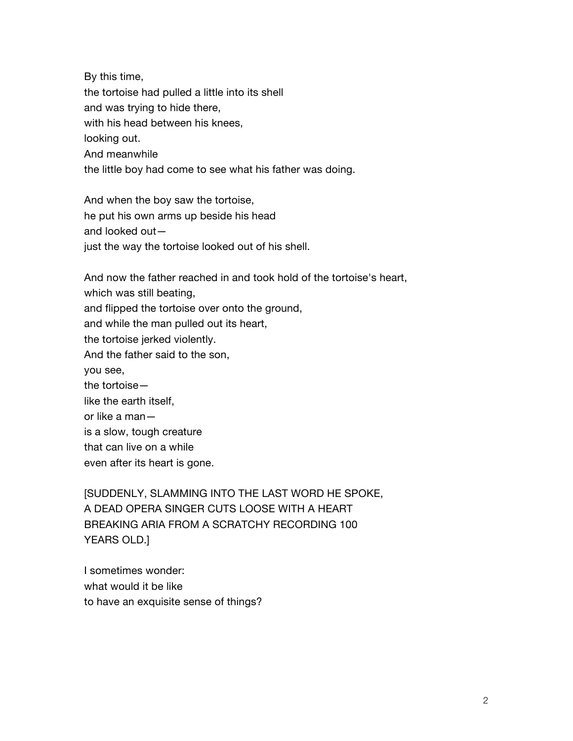By this time, the tortoise had pulled a little into its shell and was trying to hide there, with his head between his knees, looking out. And meanwhile the little boy had come to see what his father was doing.

And when the boy saw the tortoise, he put his own arms up beside his head and looked out just the way the tortoise looked out of his shell.

And now the father reached in and took hold of the tortoise's heart, which was still beating, and flipped the tortoise over onto the ground, and while the man pulled out its heart, the tortoise jerked violently. And the father said to the son, you see, the tortoise like the earth itself, or like a man is a slow, tough creature that can live on a while even after its heart is gone.

[SUDDENLY, SLAMMING INTO THE LAST WORD HE SPOKE, A DEAD OPERA SINGER CUTS LOOSE WITH A HEART BREAKING ARIA FROM A SCRATCHY RECORDING 100 YEARS OLD.]

I sometimes wonder: what would it be like to have an exquisite sense of things?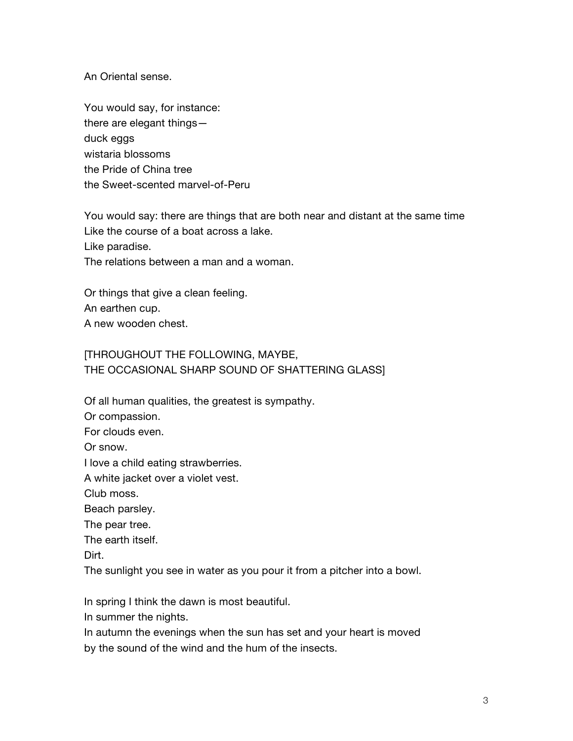An Oriental sense.

You would say, for instance: there are elegant things duck eggs wistaria blossoms the Pride of China tree the Sweet-scented marvel-of-Peru

You would say: there are things that are both near and distant at the same time Like the course of a boat across a lake. Like paradise. The relations between a man and a woman.

Or things that give a clean feeling. An earthen cup. A new wooden chest.

### [THROUGHOUT THE FOLLOWING, MAYBE, THE OCCASIONAL SHARP SOUND OF SHATTERING GLASS]

Of all human qualities, the greatest is sympathy. Or compassion. For clouds even. Or snow. I love a child eating strawberries. A white jacket over a violet vest. Club moss. Beach parsley. The pear tree. The earth itself. Dirt. The sunlight you see in water as you pour it from a pitcher into a bowl.

In spring I think the dawn is most beautiful.

In summer the nights.

In autumn the evenings when the sun has set and your heart is moved by the sound of the wind and the hum of the insects.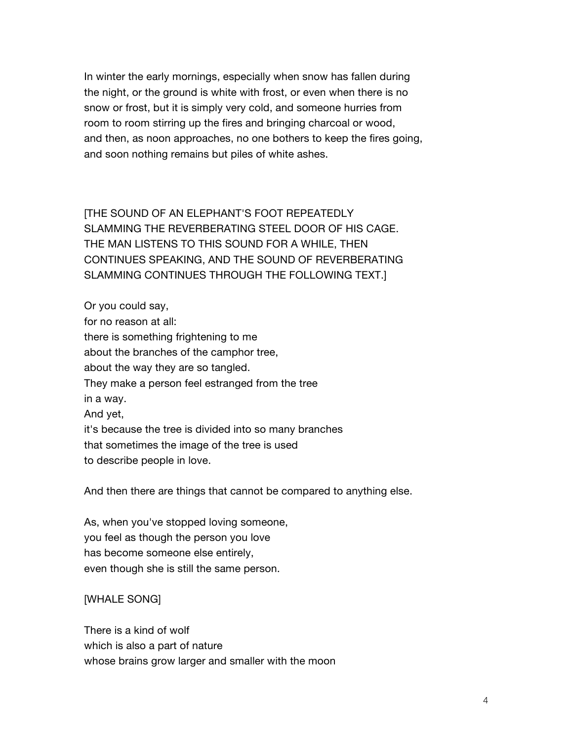In winter the early mornings, especially when snow has fallen during the night, or the ground is white with frost, or even when there is no snow or frost, but it is simply very cold, and someone hurries from room to room stirring up the fires and bringing charcoal or wood, and then, as noon approaches, no one bothers to keep the fires going, and soon nothing remains but piles of white ashes.

[THE SOUND OF AN ELEPHANT'S FOOT REPEATEDLY SLAMMING THE REVERBERATING STEEL DOOR OF HIS CAGE. THE MAN LISTENS TO THIS SOUND FOR A WHILE, THEN CONTINUES SPEAKING, AND THE SOUND OF REVERBERATING SLAMMING CONTINUES THROUGH THE FOLLOWING TEXT.]

Or you could say, for no reason at all: there is something frightening to me about the branches of the camphor tree, about the way they are so tangled. They make a person feel estranged from the tree in a way. And yet, it's because the tree is divided into so many branches that sometimes the image of the tree is used to describe people in love.

And then there are things that cannot be compared to anything else.

As, when you've stopped loving someone, you feel as though the person you love has become someone else entirely, even though she is still the same person.

### [WHALE SONG]

There is a kind of wolf which is also a part of nature whose brains grow larger and smaller with the moon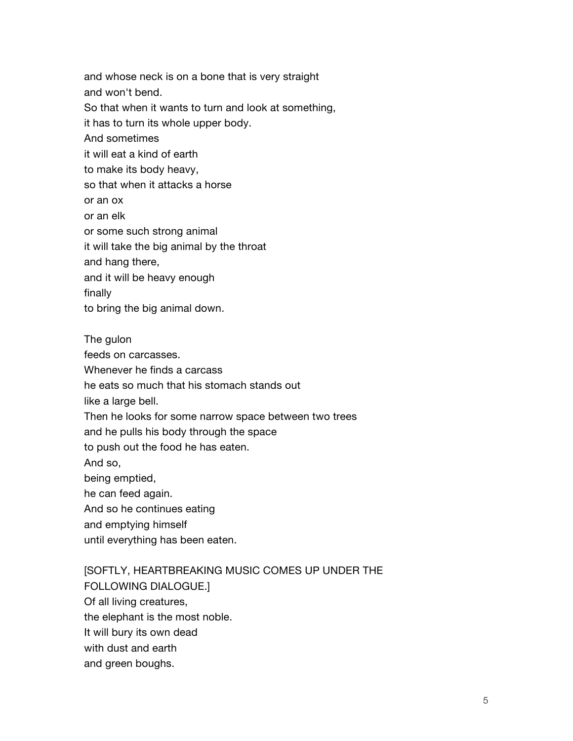and whose neck is on a bone that is very straight and won't bend. So that when it wants to turn and look at something, it has to turn its whole upper body. And sometimes it will eat a kind of earth to make its body heavy, so that when it attacks a horse or an ox or an elk or some such strong animal it will take the big animal by the throat and hang there, and it will be heavy enough finally to bring the big animal down. The gulon feeds on carcasses. Whenever he finds a carcass he eats so much that his stomach stands out like a large bell. Then he looks for some narrow space between two trees and he pulls his body through the space to push out the food he has eaten. And so, being emptied, he can feed again. And so he continues eating and emptying himself until everything has been eaten.

[SOFTLY, HEARTBREAKING MUSIC COMES UP UNDER THE FOLLOWING DIALOGUE.] Of all living creatures, the elephant is the most noble. It will bury its own dead with dust and earth and green boughs.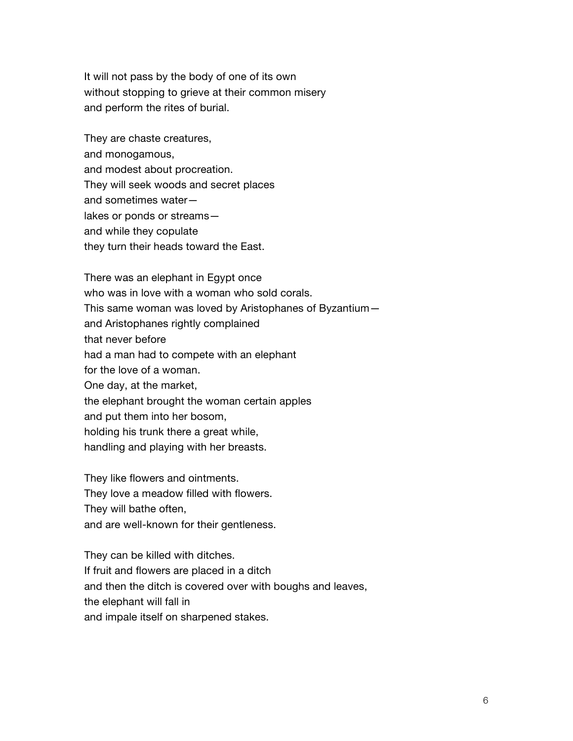It will not pass by the body of one of its own without stopping to grieve at their common misery and perform the rites of burial.

They are chaste creatures, and monogamous, and modest about procreation. They will seek woods and secret places and sometimes water lakes or ponds or streams and while they copulate they turn their heads toward the East.

There was an elephant in Egypt once who was in love with a woman who sold corals. This same woman was loved by Aristophanes of Byzantium and Aristophanes rightly complained that never before had a man had to compete with an elephant for the love of a woman. One day, at the market, the elephant brought the woman certain apples and put them into her bosom, holding his trunk there a great while, handling and playing with her breasts.

They like flowers and ointments. They love a meadow filled with flowers. They will bathe often, and are well-known for their gentleness.

They can be killed with ditches. If fruit and flowers are placed in a ditch and then the ditch is covered over with boughs and leaves, the elephant will fall in and impale itself on sharpened stakes.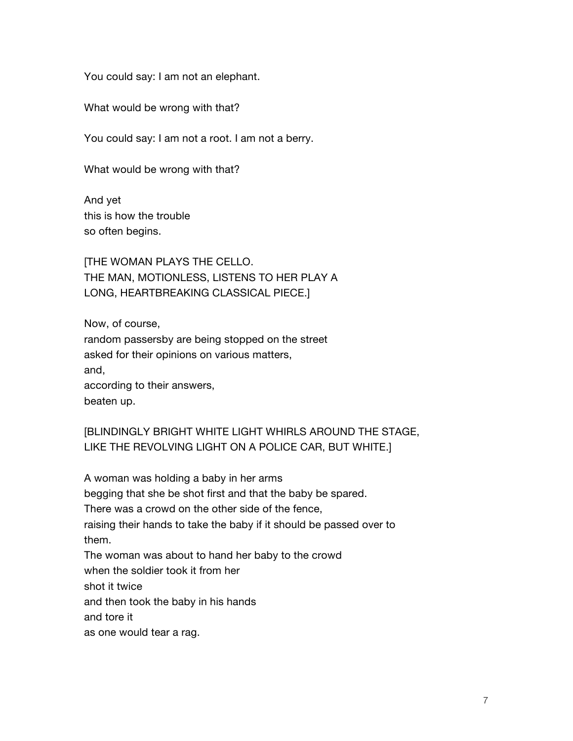You could say: I am not an elephant.

What would be wrong with that?

You could say: I am not a root. I am not a berry.

What would be wrong with that?

And yet this is how the trouble so often begins.

[THE WOMAN PLAYS THE CELLO. THE MAN, MOTIONLESS, LISTENS TO HER PLAY A LONG, HEARTBREAKING CLASSICAL PIECE.]

Now, of course, random passersby are being stopped on the street asked for their opinions on various matters, and, according to their answers, beaten up.

[BLINDINGLY BRIGHT WHITE LIGHT WHIRLS AROUND THE STAGE, LIKE THE REVOLVING LIGHT ON A POLICE CAR, BUT WHITE.]

A woman was holding a baby in her arms begging that she be shot first and that the baby be spared. There was a crowd on the other side of the fence, raising their hands to take the baby if it should be passed over to them. The woman was about to hand her baby to the crowd when the soldier took it from her shot it twice and then took the baby in his hands and tore it as one would tear a rag.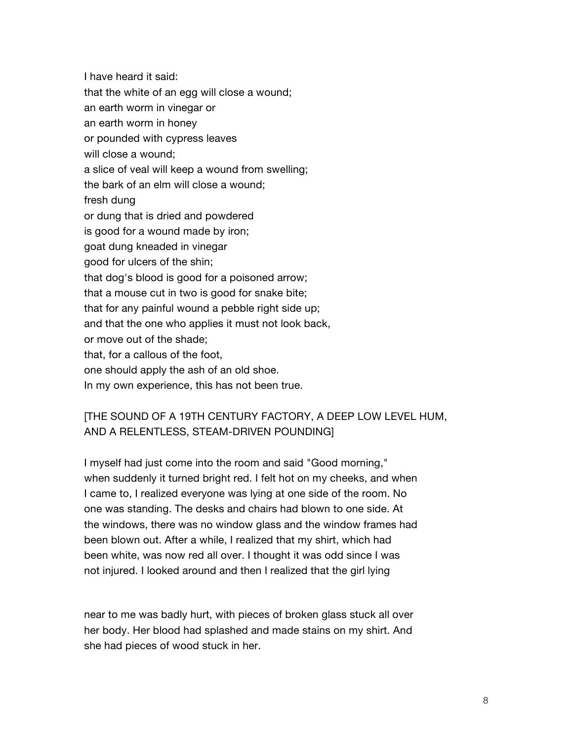I have heard it said: that the white of an egg will close a wound; an earth worm in vinegar or an earth worm in honey or pounded with cypress leaves will close a wound; a slice of veal will keep a wound from swelling; the bark of an elm will close a wound; fresh dung or dung that is dried and powdered is good for a wound made by iron; goat dung kneaded in vinegar good for ulcers of the shin; that dog's blood is good for a poisoned arrow; that a mouse cut in two is good for snake bite; that for any painful wound a pebble right side up; and that the one who applies it must not look back, or move out of the shade; that, for a callous of the foot, one should apply the ash of an old shoe. In my own experience, this has not been true.

### [THE SOUND OF A 19TH CENTURY FACTORY, A DEEP LOW LEVEL HUM, AND A RELENTLESS, STEAM-DRIVEN POUNDING]

I myself had just come into the room and said "Good morning," when suddenly it turned bright red. I felt hot on my cheeks, and when I came to, I realized everyone was lying at one side of the room. No one was standing. The desks and chairs had blown to one side. At the windows, there was no window glass and the window frames had been blown out. After a while, I realized that my shirt, which had been white, was now red all over. I thought it was odd since I was not injured. I looked around and then I realized that the girl lying

near to me was badly hurt, with pieces of broken glass stuck all over her body. Her blood had splashed and made stains on my shirt. And she had pieces of wood stuck in her.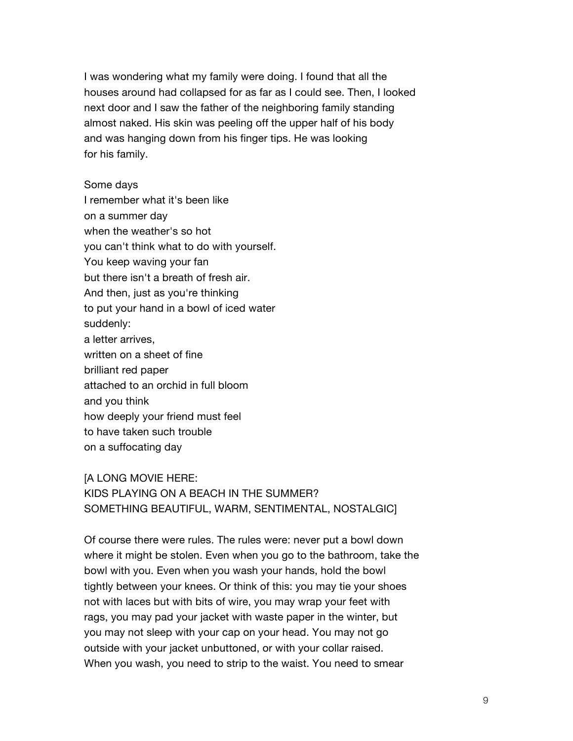I was wondering what my family were doing. I found that all the houses around had collapsed for as far as I could see. Then, I looked next door and I saw the father of the neighboring family standing almost naked. His skin was peeling off the upper half of his body and was hanging down from his finger tips. He was looking for his family.

#### Some days

I remember what it's been like on a summer day when the weather's so hot you can't think what to do with yourself. You keep waving your fan but there isn't a breath of fresh air. And then, just as you're thinking to put your hand in a bowl of iced water suddenly: a letter arrives, written on a sheet of fine brilliant red paper attached to an orchid in full bloom and you think how deeply your friend must feel to have taken such trouble on a suffocating day

### [A LONG MOVIE HERE:

# KIDS PLAYING ON A BEACH IN THE SUMMER? SOMETHING BEAUTIFUL, WARM, SENTIMENTAL, NOSTALGIC]

Of course there were rules. The rules were: never put a bowl down where it might be stolen. Even when you go to the bathroom, take the bowl with you. Even when you wash your hands, hold the bowl tightly between your knees. Or think of this: you may tie your shoes not with laces but with bits of wire, you may wrap your feet with rags, you may pad your jacket with waste paper in the winter, but you may not sleep with your cap on your head. You may not go outside with your jacket unbuttoned, or with your collar raised. When you wash, you need to strip to the waist. You need to smear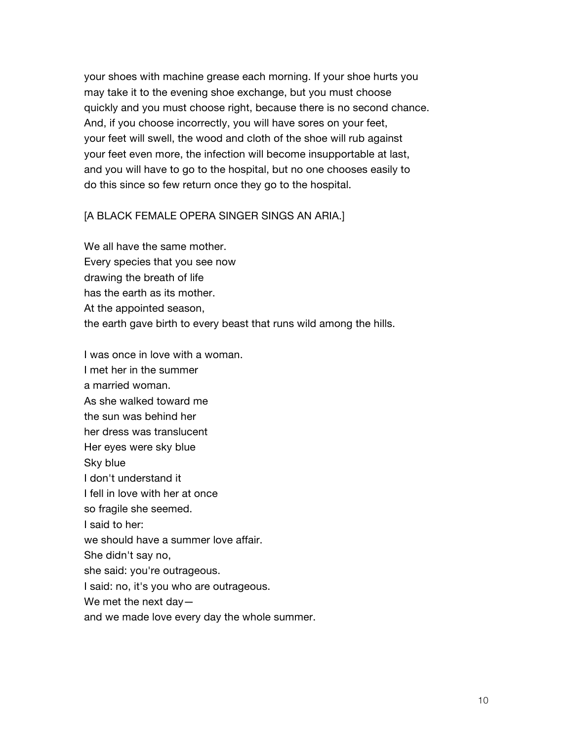your shoes with machine grease each morning. If your shoe hurts you may take it to the evening shoe exchange, but you must choose quickly and you must choose right, because there is no second chance. And, if you choose incorrectly, you will have sores on your feet, your feet will swell, the wood and cloth of the shoe will rub against your feet even more, the infection will become insupportable at last, and you will have to go to the hospital, but no one chooses easily to do this since so few return once they go to the hospital.

#### [A BLACK FEMALE OPERA SINGER SINGS AN ARIA.]

We all have the same mother. Every species that you see now drawing the breath of life has the earth as its mother. At the appointed season, the earth gave birth to every beast that runs wild among the hills.

I was once in love with a woman. I met her in the summer a married woman. As she walked toward me the sun was behind her her dress was translucent Her eyes were sky blue Sky blue I don't understand it I fell in love with her at once so fragile she seemed. I said to her: we should have a summer love affair. She didn't say no, she said: you're outrageous. I said: no, it's you who are outrageous. We met the next day—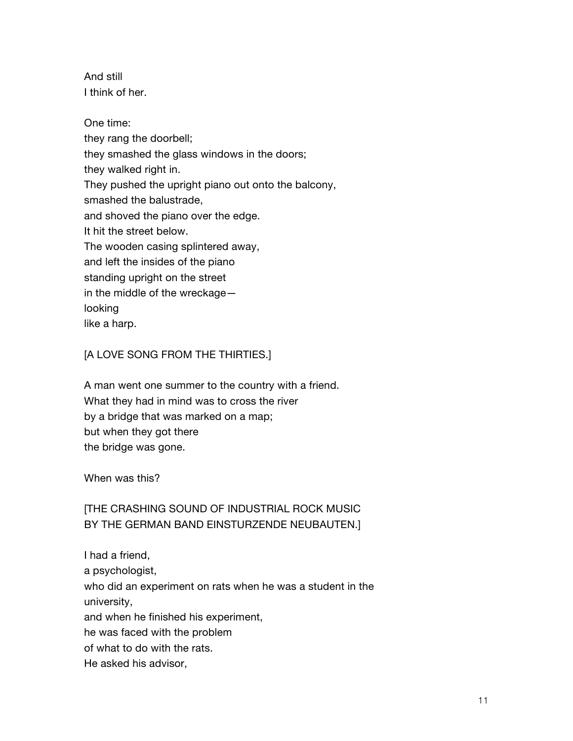And still I think of her.

One time: they rang the doorbell; they smashed the glass windows in the doors; they walked right in. They pushed the upright piano out onto the balcony, smashed the balustrade, and shoved the piano over the edge. It hit the street below. The wooden casing splintered away, and left the insides of the piano standing upright on the street in the middle of the wreckage looking like a harp.

### [A LOVE SONG FROM THE THIRTIES.]

A man went one summer to the country with a friend. What they had in mind was to cross the river by a bridge that was marked on a map; but when they got there the bridge was gone.

When was this?

## [THE CRASHING SOUND OF INDUSTRIAL ROCK MUSIC BY THE GERMAN BAND EINSTURZENDE NEUBAUTEN.]

I had a friend, a psychologist, who did an experiment on rats when he was a student in the university, and when he finished his experiment, he was faced with the problem of what to do with the rats. He asked his advisor,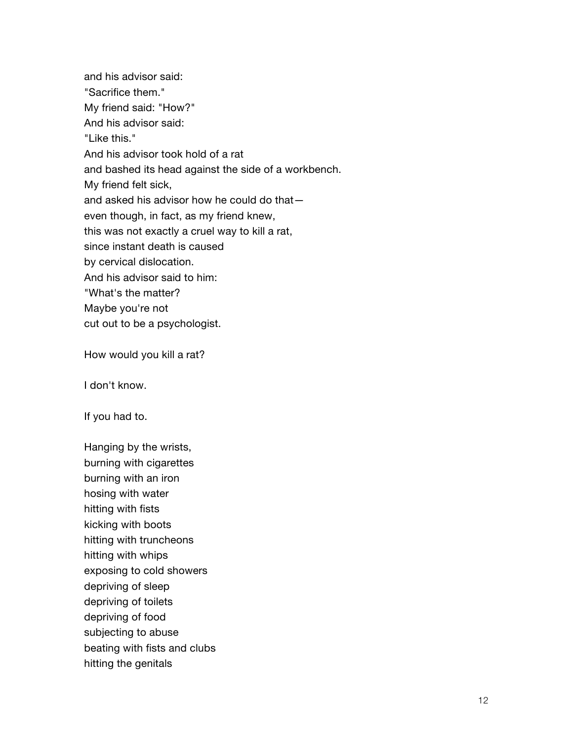and his advisor said: "Sacrifice them." My friend said: "How?" And his advisor said: "Like this." And his advisor took hold of a rat and bashed its head against the side of a workbench. My friend felt sick, and asked his advisor how he could do that even though, in fact, as my friend knew, this was not exactly a cruel way to kill a rat, since instant death is caused by cervical dislocation. And his advisor said to him: "What's the matter? Maybe you're not cut out to be a psychologist.

How would you kill a rat?

I don't know.

If you had to.

Hanging by the wrists, burning with cigarettes burning with an iron hosing with water hitting with fists kicking with boots hitting with truncheons hitting with whips exposing to cold showers depriving of sleep depriving of toilets depriving of food subjecting to abuse beating with fists and clubs hitting the genitals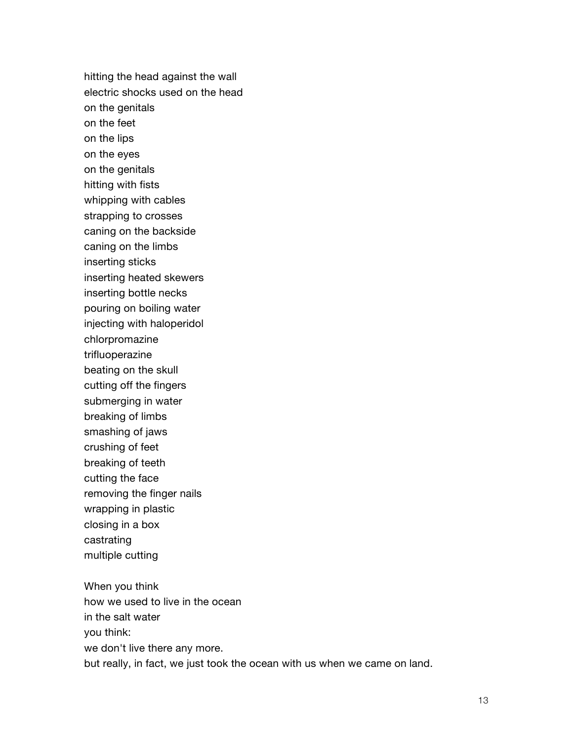hitting the head against the wall electric shocks used on the head on the genitals on the feet on the lips on the eyes on the genitals hitting with fists whipping with cables strapping to crosses caning on the backside caning on the limbs inserting sticks inserting heated skewers inserting bottle necks pouring on boiling water injecting with haloperidol chlorpromazine trifluoperazine beating on the skull cutting off the fingers submerging in water breaking of limbs smashing of jaws crushing of feet breaking of teeth cutting the face removing the finger nails wrapping in plastic closing in a box castrating multiple cutting When you think how we used to live in the ocean in the salt water

you think:

we don't live there any more.

but really, in fact, we just took the ocean with us when we came on land.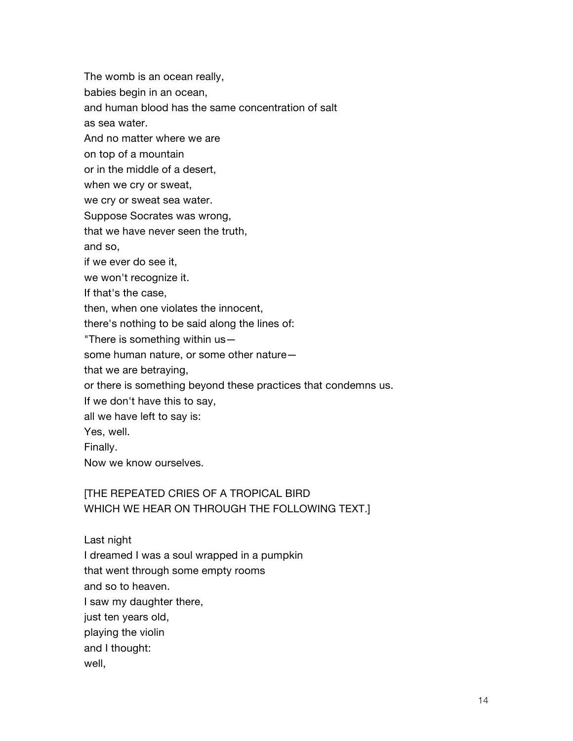The womb is an ocean really,

babies begin in an ocean,

and human blood has the same concentration of salt

#### as sea water.

And no matter where we are

on top of a mountain

or in the middle of a desert,

when we cry or sweat,

we cry or sweat sea water.

Suppose Socrates was wrong,

that we have never seen the truth,

and so,

if we ever do see it,

we won't recognize it.

If that's the case,

then, when one violates the innocent,

there's nothing to be said along the lines of:

"There is something within us—

some human nature, or some other nature—

that we are betraying,

or there is something beyond these practices that condemns us.

If we don't have this to say,

all we have left to say is:

Yes, well.

Finally.

Now we know ourselves.

# [THE REPEATED CRIES OF A TROPICAL BIRD WHICH WE HEAR ON THROUGH THE FOLLOWING TEXT.]

Last night I dreamed I was a soul wrapped in a pumpkin that went through some empty rooms and so to heaven. I saw my daughter there, just ten years old, playing the violin and I thought: well,